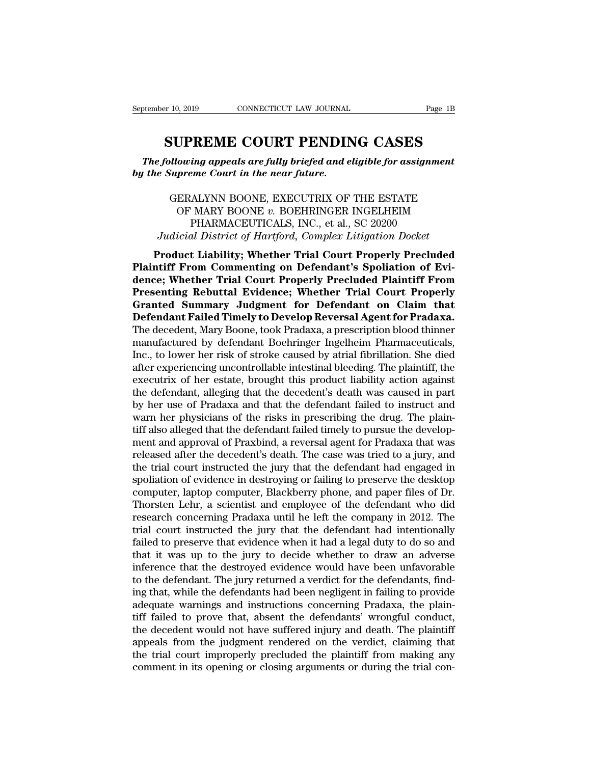**SUPREME COURT PENDING CASES**<br> **SUPREME COURT PENDING CASES**<br> **SUPREME COURT PENDING CASES**<br> **Supreme Court in the near future.** *The following appeals are fully briefed and eligible for assignment*<br> *The following appeals are fully briefed and eligible for assignment*<br> *The Supreme Court in the near future. b beptember 10, 2019 bonnecticut LAW JOURNAL*<br> **by the Supreme Court in the near future.**<br> **by the Supreme Court in the near future.**<br> **by the Supreme Court in the near future.** 

 $\begin{array}{l} {\bf \small{SUPREME~COURT~PENDING~CASES}} \end{array}$ <br>  $\begin{array}{l} {\bf \small{H} \normalsize{u} \normalsize{u}} {\bf \small{h}} {\bf \small{v}} {\bf \small{r}} {\bf \small{r}} {\bf \small{e}} {\bf \small{f}} {\bf \small{e}} {\bf \small{d}} {\bf \small{a}} {\bf \small{d}} {\bf \small{e}} {\bf \small{l}} {\bf \small{i}} {\bf \small{g}} {\bf \small{b}} {\bf \small{f}} {\bf \small{or}} {\bf \small{a}} {\bf \small{s}} {\bf \small{a}} {\bf \small{f}} {\bf \small{a}} {\$ U**PREME COURT PENDING CASES**<br>
vowing appeals are fully briefed and eligible for assignment<br>
preme Court in the near future.<br>
ERALYNN BOONE, EXECUTRIX OF THE ESTATE<br>
OF MARY BOONE v. BOEHRINGER INGELHEIM<br>
PHARMACEUTICALS, I **INERVIET COONT TENDING CASES**<br> *ing appeals are fully briefed and eligible for assignme*<br> *PHARMACEUTICALS, INC., et al., SC 20200*<br> *PHARMACEUTICALS, INC., et al., SC 20200*<br> *ALYNN BOONE v. BOEHRINGER INGELHEIM*<br> *PHARM Judicial are fully briefed and eligible for assignment*<br> *Judicial District in the near future.*<br>
GERALYNN BOONE, EXECUTRIX OF THE ESTATE<br>
OF MARY BOONE v. BOEHRINGER INGELHEIM<br>
PHARMACEUTICALS, INC., et al., SC 20200<br> *J* **PRODUCT AT A FACT CONTRIMERT CONTRIMER SERVED OF MARY BOONE** v. BOEHRINGER INGELHEIM<br>
PHARMACEUTICALS, INC., et al., SC 20200<br> *Judicial District of Hartford, Complex Litigation Docket*<br> **Product Liability; Whether Trial** 

GERALYNN BOONE, EXECUTRIX OF THE ESTATE<br>
OF MARY BOONE *v*. BOEHRINGER INGELHEIM<br>
PHARMACEUTICALS, INC., et al., SC 20200<br> *Judicial District of Hartford*, *Complex Litigation Docket*<br> **Product Liability; Whether Trial Cou dence; WARY BOONE, EXECUTING OF THE ESTATE**<br>
OF MARY BOONE v. BOEHRINGER INGELHEIM<br>
PHARMACEUTICALS, INC., et al., SC 20200<br> *Judicial District of Hartford, Complex Litigation Docket*<br> **Product Liability; Whether Trial Co PHARMACEUTICALS, INC., et al., SC 20200**<br> *Judicial District of Hartford, Complex Litigation Docket*<br> **Product Liability; Whether Trial Court Properly Precluded**<br> **Plaintiff From Commenting on Defendant's Spoliation of Ev** *Judicial District of Hartford, Complex Litigation Docket*<br>Product Liability; Whether Trial Court Properly Precluded<br>Plaintiff From Commenting on Defendant's Spoliation of Evi-<br>dence; Whether Trial Court Properly Precluded *Jaattaa District of Hartford, Complex Littigation Docket*<br> **Product Liability; Whether Trial Court Properly Precluded**<br> **Plaintiff From Commenting on Defendant's Spoliation of Evi-**<br>
dence; Whether Trial Court Properly Pr Product Liability; Whether Trial Court Properly Precluded<br>Plaintiff From Commenting on Defendant's Spoliation of Evi-<br>dence; Whether Trial Court Properly Precluded Plaintiff From<br>Presenting Rebuttal Evidence; Whether Trial Plaintiff From Commenting on Defendant's Spoliation of Evidence; Whether Trial Court Properly Precluded Plaintiff From<br>Presenting Rebuttal Evidence; Whether Trial Court Properly<br>Granted Summary Judgment for Defendant on Cl dence; Whether Trial Court Properly Precluded Plaintiff From<br>Presenting Rebuttal Evidence; Whether Trial Court Properly<br>Granted Summary Judgment for Defendant on Claim that<br>Defendant Failed Timely to Develop Reversal Agent **Presenting Rebuttal Evidence; Whether Trial Court Properly Granted Summary Judgment for Defendant on Claim that Defendant Failed Timely to Develop Reversal Agent for Pradaxa. The decedent, Mary Boone, took Pradaxa, a pres Granted Summary Judgment for Defendant on Claim that**<br>**Defendant Failed Timely to Develop Reversal Agent for Pradaxa.**<br>The decedent, Mary Boone, took Pradaxa, a prescription blood thinner<br>manufactured by defendant Boehrin **Defendant Failed Timely to Develop Reversal Agent for Pradaxa.**<br>The decedent, Mary Boone, took Pradaxa, a prescription blood thinner<br>manufactured by defendant Boehringer Ingelheim Pharmaceuticals,<br>Inc., to lower her risk The decedent, Mary Boone, took Pradaxa, a prescription blood thinner<br>manufactured by defendant Boehringer Ingelheim Pharmaceuticals,<br>Inc., to lower her risk of stroke caused by atrial fibrillation. She died<br>after experienc manufactured by defendant Boehringer Ingelheim Pharmaceuticals,<br>Inc., to lower her risk of stroke caused by atrial fibrillation. She died<br>after experiencing uncontrollable intestinal bleeding. The plaintiff, the<br>executrix Inc., to lower her risk of stroke caused by atrial fibrillation. She died after experiencing uncontrollable intestinal bleeding. The plaintiff, the executrix of her estate, brought this product liability action against the after experiencing uncontrollable intestinal bleeding. The plaintiff, the executrix of her estate, brought this product liability action against the defendant, alleging that the decedent's death was caused in part by her u executrix of her estate, brought this product liability action against<br>the defendant, alleging that the decedent's death was caused in part<br>by her use of Pradaxa and that the defendant failed to instruct and<br>warn her physi the defendant, alleging that the decedent's death was caused in part<br>by her use of Pradaxa and that the defendant failed to instruct and<br>warn her physicians of the risks in prescribing the drug. The plain-<br>tiff also allege by her use of Pradaxa and that the defendant failed to instruct and<br>warn her physicians of the risks in prescribing the drug. The plain-<br>tiff also alleged that the defendant failed timely to pursue the develop-<br>ment and ap warn her physicians of the risks in prescribing the drug. The plain-<br>tiff also alleged that the defendant failed timely to pursue the develop-<br>ment and approval of Praxbind, a reversal agent for Pradaxa that was<br>released a tiff also alleged that the defendant failed timely to pursue the development and approval of Praxbind, a reversal agent for Pradaxa that was released after the decedent's death. The case was tried to a jury, and the trial ment and approval of Praxbind, a reversal agent for Pradaxa that was<br>released after the decedent's death. The case was tried to a jury, and<br>the trial court instructed the jury that the defendant had engaged in<br>spoliation o released after the decedent's death. The case was tried to a jury, and<br>the trial court instructed the jury that the defendant had engaged in<br>spoliation of evidence in destroying or failing to preserve the desktop<br>computer, the trial court instructed the jury that the defendant had engaged in spoliation of evidence in destroying or failing to preserve the desktop computer, laptop computer, Blackberry phone, and paper files of Dr. Thorsten Leh spoliation of evidence in destroying or failing to preserve the desktop<br>computer, laptop computer, Blackberry phone, and paper files of Dr.<br>Thorsten Lehr, a scientist and employee of the defendant who did<br>research concerni computer, laptop computer, Blackberry phone, and paper files of Dr.<br>Thorsten Lehr, a scientist and employee of the defendant who did<br>research concerning Pradaxa until he left the company in 2012. The<br>trial court instructed Thorsten Lehr, a scientist and employee of the defendant who did<br>research concerning Pradaxa until he left the company in 2012. The<br>trial court instructed the jury that the defendant had intentionally<br>failed to preserve th research concerning Pradaxa until he left the company in 2012. The<br>trial court instructed the jury that the defendant had intentionally<br>failed to preserve that evidence when it had a legal duty to do so and<br>that it was up trial court instructed the jury that the defendant had intentionally failed to preserve that evidence when it had a legal duty to do so and that it was up to the jury to decide whether to draw an adverse inference that the failed to preserve that evidence when it had a legal duty to do so and<br>that it was up to the jury to decide whether to draw an adverse<br>inference that the destroyed evidence would have been unfavorable<br>to the defendant. The that it was up to the jury to decide whether to draw an adverse<br>inference that the destroyed evidence would have been unfavorable<br>to the defendant. The jury returned a verdict for the defendants, find-<br>ing that, while the inference that the destroyed evidence would have been unfavorable<br>to the defendant. The jury returned a verdict for the defendants, find-<br>ing that, while the defendants had been negligent in failing to provide<br>adequate war to the defendant. The jury returned a verdict for the defendants, finding that, while the defendants had been negligent in failing to provide adequate warnings and instructions concerning Pradaxa, the plaintiff failed to p ing that, while the defendants had been negligent in failing to provide adequate warnings and instructions concerning Pradaxa, the plaintiff failed to prove that, absent the defendants' wrongful conduct, the decedent would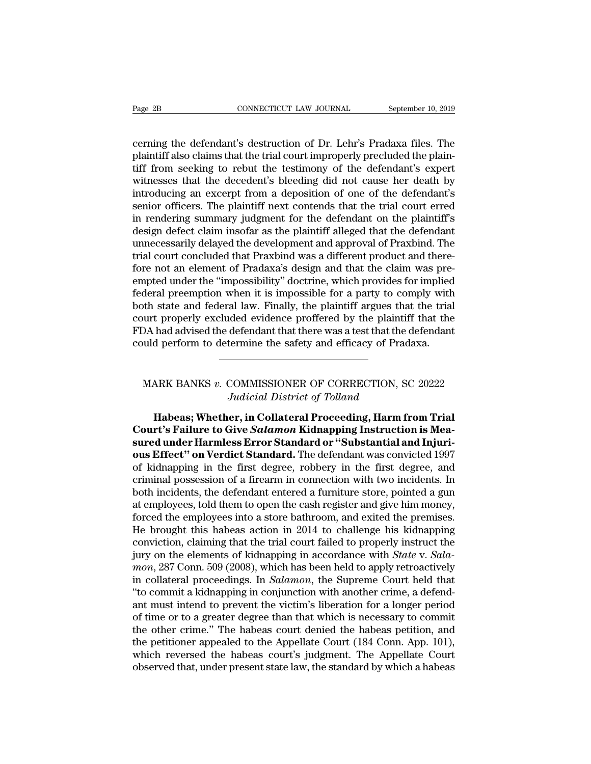Page 2B<br>
connectricut LAW JOURNAL<br>
cerning the defendant's destruction of Dr. Lehr's Pradaxa files. The<br>
plaintiff also claims that the trial court improperly precluded the plain-<br>
tiff from socking to rebut the testimony Page 2B CONNECTICUT LAW JOURNAL September 10, 2019<br>
cerning the defendant's destruction of Dr. Lehr's Pradaxa files. The<br>
plaintiff also claims that the trial court improperly precluded the plain-<br>
tiff from seeking to reb The Page 2B<br>
CONNECTICUT LAW JOURNAL<br>
Cerning the defendant's destruction of Dr. Lehr's Pradaxa files. The<br>
plaintiff also claims that the trial court improperly precluded the plain-<br>
tiff from seeking to rebut the testimo Page 2B CONNECTICUT LAW JOURNAL September 10, 2019<br>
cerning the defendant's destruction of Dr. Lehr's Pradaxa files. The<br>
plaintiff also claims that the trial court improperly precluded the plain-<br>
tiff from seeking to reb cerning the defendant's destruction of Dr. Lehr's Pradaxa files. The plaintiff also claims that the trial court improperly precluded the plaintiff from seeking to rebut the testimony of the defendant's expert witnesses tha cerning the defendant's destruction of Dr. Lehr's Pradaxa files. The plaintiff also claims that the trial court improperly precluded the plaintiff from seeking to rebut the testimony of the defendant's expert witnesses tha cerning the defendant's destruction of Dr. Lehr's Pradaxa files. The plaintiff also claims that the trial court improperly precluded the plaintiff from seeking to rebut the testimony of the defendant's expert witnesses tha plaintiff also claims that the trial court improperly precluded the plaintiff from seeking to rebut the testimony of the defendant's expert witnesses that the decedent's bleeding did not cause her death by introducing an e tiff from seeking to rebut the testimony of the defendant's expert<br>witnesses that the decedent's bleeding did not cause her death by<br>introducing an excerpt from a deposition of one of the defendant's<br>senior officers. The p witnesses that the decedent's bleeding did not cause her death by<br>introducing an excerpt from a deposition of one of the defendant's<br>senior officers. The plaintiff next contends that the trial court erred<br>in rendering summ introducing an excerpt from a deposition of one of the defendant's<br>senior officers. The plaintiff next contends that the trial court erred<br>in rendering summary judgment for the defendant on the plaintiff's<br>design defect cl senior officers. The plaintiff next contends that the trial court erred<br>in rendering summary judgment for the defendant on the plaintiff's<br>design defect claim insofar as the plaintiff alleged that the defendant<br>unnecessari in rendering summary judgment for the defendant on the plaintiff's<br>design defect claim insofar as the plaintiff alleged that the defendant<br>unnecessarily delayed the development and approval of Praxbind. The<br>trial court con design defect claim insofar as the plaintiff alleged that the defendant<br>unnecessarily delayed the development and approval of Praxbind. The<br>trial court concluded that Praxbind was a different product and there-<br>fore not an unnecessarily delayed the development and approval of Praxbind. The<br>trial court concluded that Praxbind was a different product and there-<br>fore not an element of Pradaxa's design and that the claim was pre-<br>empted under th trial court concluded that Praxbind was a different product and therefore not an element of Pradaxa's design and that the claim was pre-<br>empted under the "impossibility" doctrine, which provides for implied<br>federal preempt fore not an element of Pradaxa's design and that the claim was pre-<br>empted under the "impossibility" doctrine, which provides for implied<br>federal preemption when it is impossible for a party to comply with<br>both state and f of the state and federal law. Finally, the plaintiff argues that the trial<br>urt properly excluded evidence proffered by the plaintiff that the<br>DA had advised the defendant that there was a test that the defendant<br>uld perfor *Judicial evidence proffered by the plantiff*<br>defendant that there was a test that the commine the safety and efficacy of Prada<br>*Judicial District of Tolland*<br>**er, in Collateral Proceeding, Harm fr** 

d perform to determine the safety and efficacy of Pradaxa.<br> **HARK BANKS v. COMMISSIONER OF CORRECTION**, SC 20222<br> *Judicial District of Tolland*<br> **Habeas; Whether, in Collateral Proceeding, Harm from Trial**<br> **rt's Failure COURTE SET ASSOCIATE:**<br>
MARK BANKS v. COMMISSIONER OF CORRECTION, SC 20222<br> *Judicial District of Tolland*<br> **Court's Failure to Give** *Salamon* **Kidnapping Instruction is Mea-**<br>
sured under Harmless Error Standard or "Subst MARK BANKS *v.* COMMISSIONER OF CORRECTION, SC 20222<br>*Judicial District of Tolland*<br>**Habeas; Whether, in Collateral Proceeding, Harm from Trial**<br>**Court's Failure to Give Salamon Kidnapping Instruction is Measured under Har** MARK BANKS v. COMMISSIONER OF CORRECTION, SC 20222<br>Judicial District of Tolland<br>**Habeas; Whether, in Collateral Proceeding, Harm from Trial**<br>**Court's Failure to Give Salamon Kidnapping Instruction is Mea-<br>sured under Harml** Judicial District of Tolland<br>
Habeas; Whether, in Collateral Proceeding, Harm from Trial<br>
Court's Failure to Give Salamon Kidnapping Instruction is Mea-<br>
sured under Harmless Error Standard or "Substantial and Injuri-<br>
ous **Exercise Sylvet Construction**<br> **Court's Failure to Give Salamon Kidnapping Instruction is Measured under Harmless Error Standard or "Substantial and Injuri-<br>
ous Effect" on Verdict Standard. The defendant was convicted 19** Habeas; Whether, in Collateral Proceeding, Harm from Trial<br>Court's Failure to Give *Salamon* Kidnapping Instruction is Mea-<br>sured under Harmless Error Standard or "Substantial and Injuri-<br>ous Effect" on Verdict Standard. T **Court's Failure to Give Salamon Kidnapping Instruction is Measured under Harmless Error Standard or "Substantial and Injurious Effect" on Verdict Standard. The defendant was convicted 1997 of kidnapping in the first degr** sured under Harmless Error Standard or "Substantial and Injuri-<br>ous Effect" on Verdict Standard. The defendant was convicted 1997<br>of kidnapping in the first degree, robbery in the first degree, and<br>criminal possession of a **ous Effect" on Verdict Standard.** The defendant was convicted 1997<br>of kidnapping in the first degree, robbery in the first degree, and<br>criminal possession of a firearm in connection with two incidents. In<br>both incidents, of kidnapping in the first degree, robbery in the first degree, and<br>criminal possession of a firearm in connection with two incidents. In<br>both incidents, the defendant entered a furniture store, pointed a gun<br>at employees, criminal possession of a firearm in connection with two incidents. In<br>both incidents, the defendant entered a furniture store, pointed a gun<br>at employees, told them to open the cash register and give him money,<br>forced the both incidents, the defendant entered a furniture store, pointed a gun<br>at employees, told them to open the cash register and give him money,<br>forced the employees into a store bathroom, and exited the premises.<br>He brought t at employees, told them to open the cash register and give him money,<br>forced the employees into a store bathroom, and exited the premises.<br>He brought this habeas action in 2014 to challenge his kidnapping<br>conviction, claim forced the employees into a store bathroom, and exited the premises.<br>He brought this habeas action in 2014 to challenge his kidnapping<br>conviction, claiming that the trial court failed to properly instruct the<br>jury on the e He brought this habeas action in 2014 to challenge his kidnapping<br>conviction, claiming that the trial court failed to properly instruct the<br>jury on the elements of kidnapping in accordance with *State* v. *Sala-<br>mon*, 287 conviction, claiming that the trial court failed to properly instruct the<br>jury on the elements of kidnapping in accordance with *State* v. *Sala-<br>mon*, 287 Conn. 509 (2008), which has been held to apply retroactively<br>in c jury on the elements of kidnapping in accordance with *State* v. *Sala-<br>mon*, 287 Conn. 509 (2008), which has been held to apply retroactively<br>in collateral proceedings. In *Salamon*, the Supreme Court held that<br>"to commit mon, 287 Conn. 509 (2008), which has been held to apply retroactively<br>in collateral proceedings. In *Salamon*, the Supreme Court held that<br>"to commit a kidnapping in conjunction with another crime, a defend-<br>ant must inten in collateral proceedings. In *Salamon*, the Supreme Court held that "to commit a kidnapping in conjunction with another crime, a defendant must intend to prevent the victim's liberation for a longer period of time or to a "to commit a kidnapping in conjunction with another crime, a defend-<br>ant must intend to prevent the victim's liberation for a longer period<br>of time or to a greater degree than that which is necessary to commit<br>the other cr